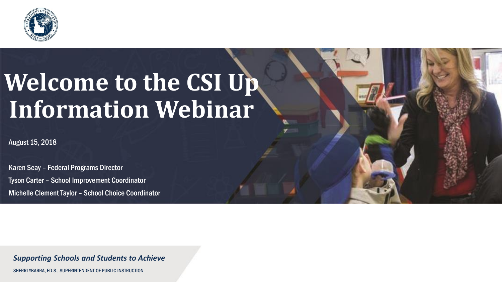

### **Welcome to the CSI Up Information Webinar**

August 15, 2018

Karen Seay – Federal Programs Director Tyson Carter – School Improvement Coordinator Michelle Clement Taylor – School Choice Coordinator

*Supporting Schools and Students to Achieve*

SHERRI YBARRA, ED.S., SUPERINTENDENT OF PUBLIC INSTRUCTION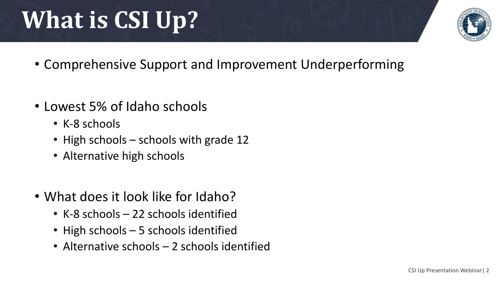## **What is CSI Up?**

- Comprehensive Support and Improvement Underperforming
- Lowest 5% of Idaho schools
	- K-8 schools
	- High schools schools with grade 12
	- Alternative high schools
- What does it look like for Idaho?
	- K-8 schools 22 schools identified
	- High schools 5 schools identified
	- Alternative schools 2 schools identified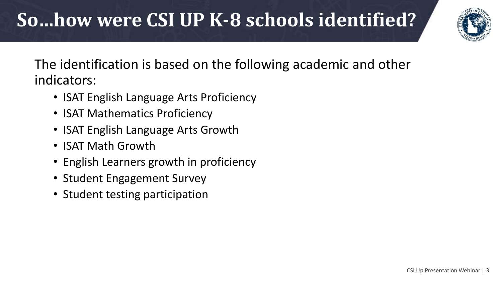

The identification is based on the following academic and other indicators:

- ISAT English Language Arts Proficiency
- ISAT Mathematics Proficiency
- ISAT English Language Arts Growth
- ISAT Math Growth
- English Learners growth in proficiency
- Student Engagement Survey
- Student testing participation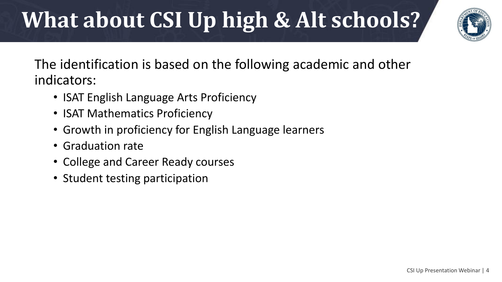## **What about CSI Up high & Alt schools?**



The identification is based on the following academic and other indicators:

- ISAT English Language Arts Proficiency
- ISAT Mathematics Proficiency
- Growth in proficiency for English Language learners
- Graduation rate
- College and Career Ready courses
- Student testing participation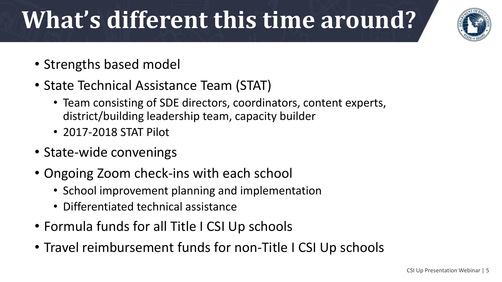## **What's different this time around?**



- Strengths based model
- State Technical Assistance Team (STAT)
	- Team consisting of SDE directors, coordinators, content experts, district/building leadership team, capacity builder
	- 2017-2018 STAT Pilot
- State-wide convenings
- Ongoing Zoom check-ins with each school
	- School improvement planning and implementation
	- Differentiated technical assistance
- Formula funds for all Title I CSI Up schools
- Travel reimbursement funds for non-Title I CSI Up schools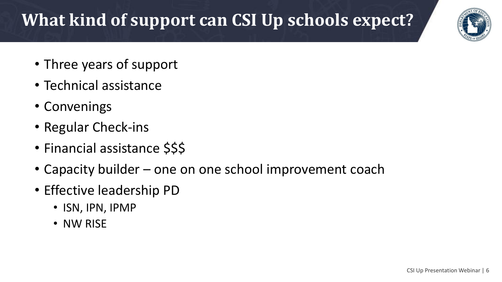#### **What kind of support can CSI Up schools expect?**



- Three years of support
- Technical assistance
- Convenings
- Regular Check-ins
- Financial assistance \$\$\$
- Capacity builder one on one school improvement coach
- Effective leadership PD
	- ISN, IPN, IPMP
	- NW RISE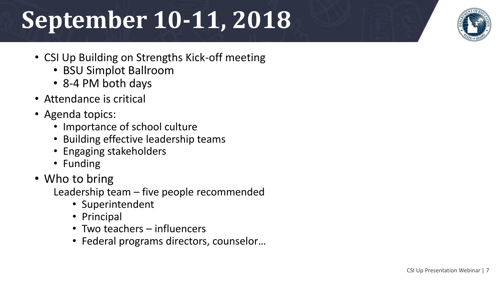## **September 10-11, 2018**

- CSI Up Building on Strengths Kick-off meeting
	- BSU Simplot Ballroom
	- 8-4 PM both days
- Attendance is critical
- Agenda topics:
	- Importance of school culture
	- Building effective leadership teams
	- Engaging stakeholders
	- Funding
- Who to bring
	- Leadership team five people recommended
		- Superintendent
		- Principal
		- Two teachers influencers
		- Federal programs directors, counselor…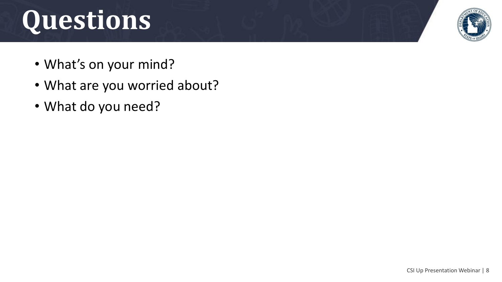# **Questions**



- What's on your mind?
- What are you worried about?
- What do you need?